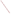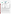## **THE ENVIRONMENTAL TECHNOLOGY VERIFICATION** PROGRAM





**Battelle** The Business of Innovation

# **ETV Joint Verification Statement**

|                                      | <b>TECHNOLOGY TYPE: Mercury Emissions Monitor</b>                           |                                      |
|--------------------------------------|-----------------------------------------------------------------------------|--------------------------------------|
| <b>APPLICATION:</b>                  | <b>Monitoring of Flue Gas Mercury</b>                                       |                                      |
| <b>TECHNOLOGY</b><br><b>NAME:</b>    | <b>Series 3300 Mercury Continuous Emissions Monitoring</b><br><b>System</b> |                                      |
| <b>COMPANY:</b>                      | <b>Tekran Instruments Corporation</b>                                       |                                      |
| <b>ADDRESS:</b>                      | 230 Tech Center Drive<br>Knoxville, TN 37912                                | PHONE: (865) 688-0688<br><b>FAX:</b> |
| <b>WEB SITE:</b><br>$E\text{-}MAIL:$ | www.tekran.com<br>sales@tekran.com                                          |                                      |

The U.S. Environmental Protection Agency (EPA) has established the Environmental Technology Verification (ETV) Program to facilitate the deployment of innovative or improved environmental technologies through performance verification and dissemination of information. The goal of the ETV Program is to further environmental protection by accelerating the acceptance and use of improved and cost-effective technologies. ETV seeks to achieve this goal by providing high-quality, peer-reviewed data on technology performance to those involved in the design, distribution, financing, permitting, purchase, and use of environmental technologies. Information and ETV documents are available at www.epa.gov/etv.

ETV works in partnership with recognized standards and testing organizations, with stakeholder groups (consisting of buyers, vendor organizations, and permitters), and with individual technology developers. The program evaluates the performance of innovative technologies by developing test plans that are responsive to the needs of stakeholders, conducting field or laboratory tests (as appropriate), collecting and analyzing data, and preparing peer-reviewed reports. All evaluations are conducted in accordance with rigorous quality assurance (QA) protocols to ensure that data of known and adequate quality are generated and that the results are defensible.

The Advanced Monitoring Systems (AMS) Center, one of six technology areas under ETV, is operated by Battelle in cooperation with EPA's National Exposure Research Laboratory. In collaboration with the Illinois Clean Coal Institute, and with assistance from the Northern Indiana Public Service Company, the AMS Center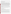evaluated the performance of the Tekran Instruments Corporation Series 3300 Mercury Continuous Emissions Monitoring (CEM) System for determining mercury in stack gas at a coal-fired power plant. This verification statement provides a summary of the test results.

#### **VERIFICATION TEST DESCRIPTION**

The performance of the Series 3300 CEM was evaluated in terms of relative accuracy (RA), linearity, seven-day calibration error, cycle time, data completeness, and operational factors (ease of use, maintenance and data output needs, power and other consumables use, reliability, and operational costs). RA was determined according to Equation A-10 of Chapter 40 of the Code of Federal Regulations Part 75 (40 CFR Part 75) Appendix A, by comparing CEM vapor-phase mercury results to simultaneous results from American Society for Testing and Materials D 6784-02, the "Ontario Hydro" (OH) method. RA of the Series 3300 was determined for total mercury (Hg<sub>T</sub>) and elemental mercury (Hg<sup>0</sup>). Linearity was determined based on Series 3300 responses to  $Hg<sup>0</sup>$  standards. Calibration error was evaluated by comparing Series 3300 readings on mercury standard and zero gases performed once each day over a consecutive seven-day period. Cycle time was evaluated in terms of the response of the Series 3300 when switching from a zero gas or upscale  $Hg^0$  standard gas, supplied at the Series 3300 inlet, to sampling of stack gas. Data completeness was assessed as the percentage of maximum data return achieved by the Series 3300 over the test period. Operational factors were evaluated by means of observations during testing and records of needed maintenance, vendor activities, and expendables use.

The Series 3300 was verified at Unit 17 of the R.M. Schahfer Generating Station, located near Wheatfield, Indiana, between June 12 and July 25, 2006. Unit 17 burns pulverized Illinois sub-bituminous coal and has an electrostatic precipitator and a wet flue gas desulfurization unit. Twelve successive OH method runs, each of 2 hours duration, were conducted on the Unit 17 stack in each of two separate reference sampling periods using paired OH trains. Those reference samples were collected and analyzed for Hg<sup>0</sup> and oxidized mercury (Hg<sub>OX</sub>), the sum of which is  $Hg_T$ .

QA oversight of verification testing was provided by Battelle and EPA. Battelle QA staff conducted a technical systems audit, a performance evaluation audit, and a data quality audit of 10% of the test data.

This verification statement, the full report on which it is based, and the test/QA plan for this verification test are all available at www.epa.gov/etv/centers/center1.html.

### **TECHNOLOGY DESCRIPTION**

The following description of the Series 3300 CEM is based on information provided by the vendor. The information provided below was not verified in this test.

The Series 3300 measures  $Hg_T$ ,  $Hg^0$ , and  $Hg_{OX}$  in combustion sources. It is designed to be insensitive to the presence of sulfur dioxide, nitrogen oxides, carbon monoxide, hydrogen chloride (HCl), and other common combustion by-products and to operate unattended for extended periods. In this verification the Series 3300 was programmed to report a reading of mercury concentration every 2.5 minutes. The CEM alternated measurements of  $Hg_T$  and  $Hg^0$ , providing two successive readings of  $Hg_T$ , followed by two of  $Hg^0$ , two of  $Hg_T$ , etc.

The Series 3300 consists of a sampling probe, a heated umbilical line, a dual channel sample conditioner, a mercury analyzer, a saturated  $Hg^{0}$ vapor calibration source, and a control system. It uses a stack-mounted inertial probe to minimize mercury measurement artifacts due to filtering. The probe can perform automated filter blowback, multi-point calibrations, and standard additions of mercury into the sample matrix. The sample flow from the probe is diluted and sent at a high rate through the heated umbilical line to the sample conditioning module, which speciates the mercury into elemental and oxidized forms without using chemical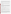reagents or solid sorbents. In one channel, a thermal conditioner unit converts all mercury forms into  $Hg^0$ , and is designed to avoid recombination by the quantitative removal of HCl and other gases. The second channel removes  $Hg_{OX}$ , leaving only the  $Hg^0$  to pass through to the converter. This stream is then subjected to additional conditioning to remove acid gases and excess humidity from the sample. The two conditioned streams are analyzed by a Tekran Model 2537A mercury vapor analyzer using gold preconcentration combined with atomic fluorescence detection.

All temperatures, flows, and pressures are displayed by the control system and may be set by authorized users. The system features remote operation and problem diagnosis. The Series 3300 can be audited by introduction of mercury calibration gas standards, which can be delivered directly to the probe inlet by the umbilical line.

The Series 3300 component rack system is approximately 67 inches high by 31.5 inches deep by 23 inches wide. The associated air purification system occupies a wall-mountable panel 24 inches by 24 inches in size.

#### **VERIFICATION RESULTS**

The RA of the Tekran Series 3300 CEM was 18.5% for  $Hg_T$  and 15.4% for  $Hg^0$ , based on comparison to 12 OH reference results obtained at the start of the six-week field test. The overall average  $Hg_T$ ,  $Hg^0$ , and  $Hg_{OX}$  values from that first set of OH data were 0.815, 0.768, and 0.047 microgram per dry standard cubic meter (μg/dscm), whereas those from the Series 3300 were 0.923, 0.849, and 0.074 μg/dscm, with resulting differences of 0.108, 0.081, and 0.027  $\mu$ g/dscm, respectively. The RA of the Series 3300 was 28.7% for Hg<sub>T</sub> and 27.8% for Hg<sup>0</sup>, based on comparison to nine OH reference results obtained at the end of the six-week field test. The overall average Hg<sub>T</sub>,  $\text{Hg}^0$ , and Hg<sub>OX</sub> values from that set of OH data were 1.011, 0.948, and 0.060 µg/dscm, whereas those from the Series 3300 were 0.805, 0.735, and 0.098 μg/dscm, with resulting differences of 0.206, 0.213, and 0.038 μg/dscm, respectively.

The linearity error of the Series 3300 was 4.7 to 6.9% when tested over the range of about 1 to 4.5 μg/dscm and 1.6 to 5.7% when tested over a range of about 4 to 16 μg/dscm.

The seven-day calibration error of the Series 3300 was evaluated with zero gas and with a calibration gas of about 4.5  $\mu$ g/dscm Hg<sup>0</sup>. Error in zero readings ranged from 5.75 to 14.6% of span, and error in calibration gas readings from 0.66 to 3.14% of span, in both cases relative to an assumed 10 μg/dscm span value.

Cycle time of the Series 3300 was estimated to be 7.5 to 10 minutes, in switching from either zero gas or span gas to sampling of stack gas. The Series 3300 provided a mercury reading every 2.5 minutes, so the cycle time was estimated as a multiple of this integration time.

Data completeness of the Series 3300 was 99.9% over the six-week field test, in the sense that the CEM operated with minimal down time and provided readings at 2.5-minute intervals throughout the test. However, not all readings were valid measurements of stack gas mercury. Frequent erroneous readings of 0 μg/dscm were reported by the Series 3300 in a portion of the field period, amounting to 8.1 days of such readings (18.6% of the field test duration).

The Series 3300 used one standard cylinder of argon (about 200 cubic feet of gas) in about one month of continuous operation. The Series 3300 also used deionized water at a rate of about 3 liters per day; required both 240 and 120V AC power, with connections for the latter both at the ground and aloft at the stack sampling port; and required connection to facility compressed air. The Series 3300 is controlled by software that can be accessed locally or remotely and provides rapid control of all instrument operations and detailed information on mercury results and instrument functions. The only recurring problem with the Series 3300 was the frequent reporting of 0 μg/dscm for stack gas mercury over approximately two weeks of the field period. This problem apparently was related to the ultraviolet lamp in the mercury analyzer of the Series 3300 and was ultimately solved by replacement of the lamp and proper adjustment of lamp voltage.